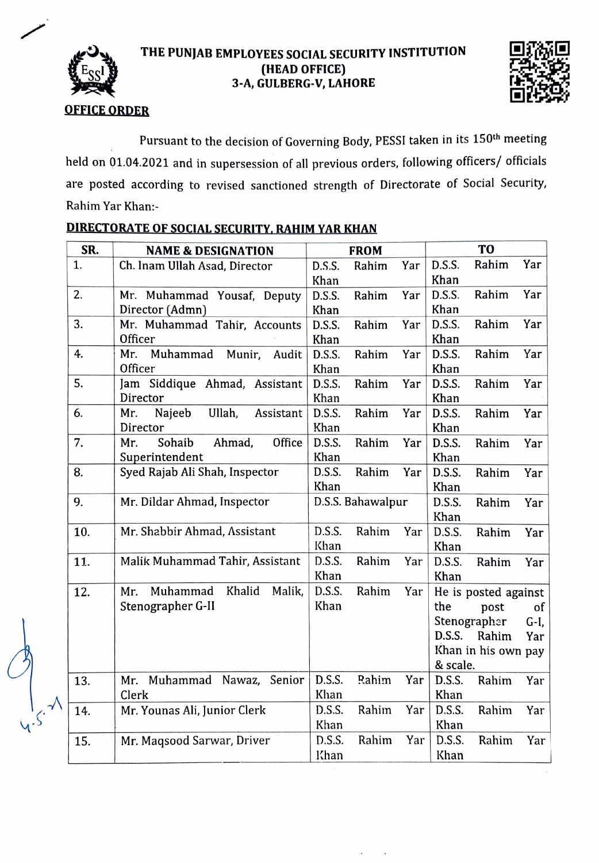

## THE PUNJAB EMPLOYEES SOCIAL SECURITY INSTITUTION (HEAD OFFICE) 3-A, GULBERG-V, LAHORE



## OFFICE ORDER

Pursuant to the decision of Governing Body, PESSI taken in its 150th meeting held on 01.04.2021 and in supersession of all previous orders, following officers/ officials are posted according to revised sanctioned strength of Directorate of Social Security, Rahim Yar Khan:

| SR. | <b>NAME &amp; DESIGNATION</b>        | <b>FROM</b> |                   |     | T <sub>O</sub> |                      |      |
|-----|--------------------------------------|-------------|-------------------|-----|----------------|----------------------|------|
| 1.  | Ch. Inam Ullah Asad, Director        | D.S.S.      | Rahim             | Yar | D.S.S.         | Rahim                | Yar  |
|     |                                      | Khan        |                   |     | Khan           |                      |      |
| 2.  | Mr. Muhammad Yousaf, Deputy          | D.S.S.      | Rahim             | Yar | D.S.S.         | Rahim                | Yar  |
|     | Director (Admn)                      | Khan        |                   |     | Khan           |                      |      |
| 3.  | Mr. Muhammad Tahir, Accounts         | D.S.S.      | Rahim             | Yar | D.S.S.         | Rahim                | Yar  |
|     | Officer                              | Khan        |                   |     | Khan           |                      |      |
| 4.  | Mr.<br>Muhammad<br>Munir,<br>Audit   | D.S.S.      | Rahim             | Yar | D.S.S.         | Rahim                | Yar  |
|     | Officer                              | Khan        |                   |     | Khan           |                      |      |
| 5.  | Jam Siddique Ahmad, Assistant        | D.S.S.      | Rahim             | Yar | D.S.S.         | Rahim                | Yar  |
|     | Director                             | Khan        |                   |     | Khan           |                      |      |
| 6.  | Ullah,<br>Mr.<br>Najeeb<br>Assistant | D.S.S.      | Rahim             | Yar | D.S.S.         | Rahim                | Yar  |
|     | Director                             | Khan        |                   |     | Khan           |                      |      |
| 7.  | Sohaib<br>Ahmad,<br>Office<br>Mr.    | D.S.S.      | Rahim             | Yar | D.S.S.         | Rahim                | Yar  |
|     | Superintendent                       | Khan        |                   |     | Khan           |                      |      |
| 8.  | Syed Rajab Ali Shah, Inspector       | D.S.S.      | Rahim             | Yar | D.S.S.         | Rahim                | Yar  |
|     |                                      | Khan        |                   |     | Khan           |                      |      |
| 9.  | Mr. Dildar Ahmad, Inspector          |             | D.S.S. Bahawalpur |     | D.S.S.         | Rahim                | Yar  |
|     |                                      |             |                   |     | Khan           |                      |      |
| 10. | Mr. Shabbir Ahmad, Assistant         | D.S.S.      | Rahim             | Yar | D.S.S.         | Rahim                | Yar  |
|     |                                      | Khan        |                   |     | Khan           |                      |      |
| 11. | Malik Muhammad Tahir, Assistant      | D.S.S.      | Rahim             | Yar | D.S.S.         | Rahim                | Yar  |
|     |                                      | Khan        |                   |     | Khan           |                      |      |
| 12. | Muhammad<br>Khalid<br>Malik,<br>Mr.  | D.S.S.      | Rahim             | Yar |                | He is posted against |      |
|     | Stenographer G-II                    | Khan        |                   |     | the            | post                 | of   |
|     |                                      |             |                   |     |                | Stenographer         | G-I, |
|     |                                      |             |                   |     | D.S.S.         | Rahim                | Yar  |
|     |                                      |             |                   |     |                | Khan in his own pay  |      |
|     |                                      |             |                   |     | & scale.       |                      |      |
| 13. | Muhammad Nawaz, Senior<br>Mr.        | D.S.S.      | Rahim             | Yar | D.S.S.         | Rahim                | Yar  |
|     | Clerk                                | Khan        |                   |     | Khan           |                      |      |
| 14. | Mr. Younas Ali, Junior Clerk         | D.S.S.      | Rahim             | Yar | D.S.S.         | Rahim                | Yar  |
|     |                                      | Khan        |                   |     | Khan           |                      |      |
| 15. | Mr. Magsood Sarwar, Driver           | D.S.S.      | Rahim             | Yar | D.S.S.         | Rahim                | Yar  |
|     |                                      | Khan        |                   |     | Khan           |                      |      |

## DIRECTORATE OF SOCIAL SECURITY. RAHIM YAR KHAN

 $C_{\frac{1}{2},\frac{1}{2}}$